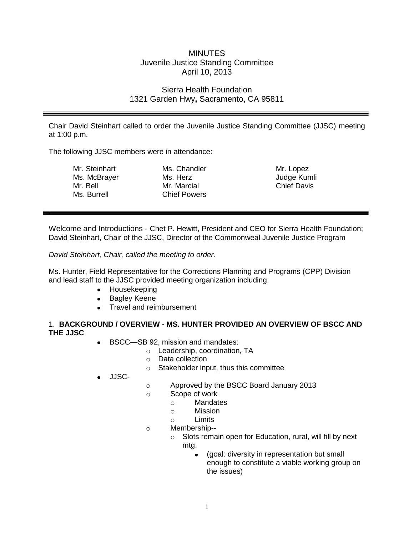# MINUTES Juvenile Justice Standing Committee April 10, 2013

## Sierra Health Foundation 1321 Garden Hwy**,** Sacramento, CA 95811

Chair David Steinhart called to order the Juvenile Justice Standing Committee (JJSC) meeting at 1:00 p.m.

The following JJSC members were in attendance:

| Mr. Steinhart | Ms. Chandler        | M  |
|---------------|---------------------|----|
| Ms. McBrayer  | Ms. Herz            | Jı |
| Mr. Bell      | Mr. Marcial         | C  |
| Ms. Burrell   | <b>Chief Powers</b> |    |
|               |                     |    |

Mr. Lopez udge Kumli hief Davis

Welcome and Introductions - Chet P. Hewitt, President and CEO for Sierra Health Foundation; David Steinhart, Chair of the JJSC, Director of the Commonweal Juvenile Justice Program

*David Steinhart, Chair, called the meeting to order.* 

.

Ms. Hunter, Field Representative for the Corrections Planning and Programs (CPP) Division and lead staff to the JJSC provided meeting organization including:

- Housekeeping
- Bagley Keene
- Travel and reimbursement

#### 1. **BACKGROUND / OVERVIEW - MS. HUNTER PROVIDED AN OVERVIEW OF BSCC AND THE JJSC**

- BSCC—SB 92, mission and mandates:
	- o Leadership, coordination, TA
	- o Data collection
	- o Stakeholder input, thus this committee
- JJSC-
- o Approved by the BSCC Board January 2013
- o Scope of work
	- o Mandates
	- o Mission
	- o Limits
- o Membership-
	- o Slots remain open for Education, rural, will fill by next mtg.
		- (goal: diversity in representation but small enough to constitute a viable working group on the issues)